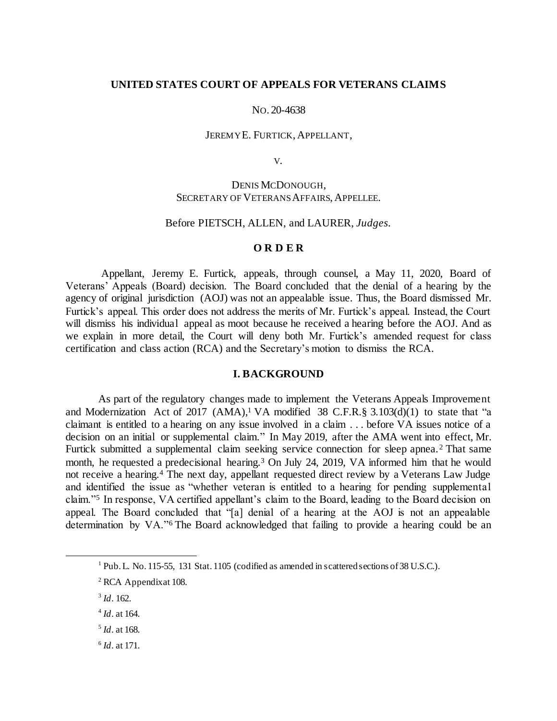## **UNITED STATES COURT OF APPEALS FOR VETERANS CLAIMS**

#### NO. 20-4638

## JEREMY E. FURTICK, APPELLANT,

V.

# DENIS MCDONOUGH, SECRETARY OF VETERANS AFFAIRS, APPELLEE.

### Before PIETSCH, ALLEN, and LAURER, *Judges.*

## **O R D E R**

Appellant, Jeremy E. Furtick, appeals, through counsel, a May 11, 2020, Board of Veterans' Appeals (Board) decision. The Board concluded that the denial of a hearing by the agency of original jurisdiction (AOJ) was not an appealable issue. Thus, the Board dismissed Mr. Furtick's appeal. This order does not address the merits of Mr. Furtick's appeal. Instead, the Court will dismiss his individual appeal as moot because he received a hearing before the AOJ. And as we explain in more detail, the Court will deny both Mr. Furtick's amended request for class certification and class action (RCA) and the Secretary's motion to dismiss the RCA.

### **I. BACKGROUND**

As part of the regulatory changes made to implement the Veterans Appeals Improvement and Modernization Act of 2017  $(AMA)$ ,<sup>1</sup> VA modified 38 C.F.R.§ 3.103(d)(1) to state that "a claimant is entitled to a hearing on any issue involved in a claim . . . before VA issues notice of a decision on an initial or supplemental claim." In May 2019, after the AMA went into effect, Mr. Furtick submitted a supplemental claim seeking service connection for sleep apnea.<sup>2</sup> That same month, he requested a predecisional hearing.<sup>3</sup> On July 24, 2019, VA informed him that he would not receive a hearing.<sup>4</sup> The next day, appellant requested direct review by a Veterans Law Judge and identified the issue as "whether veteran is entitled to a hearing for pending supplemental claim."<sup>5</sup> In response, VA certified appellant's claim to the Board, leading to the Board decision on appeal. The Board concluded that "[a] denial of a hearing at the AOJ is not an appealable determination by VA."<sup>6</sup> The Board acknowledged that failing to provide a hearing could be an

l

- 5 *Id*. at 168.
- 6 *Id*. at 171.

<sup>&</sup>lt;sup>1</sup> Pub. L. No. 115-55, 131 Stat. 1105 (codified as amended in scattered sections of 38 U.S.C.).

<sup>&</sup>lt;sup>2</sup> RCA Appendix at 108.

<sup>3</sup> *Id*. 162.

<sup>4</sup> *Id*. at 164.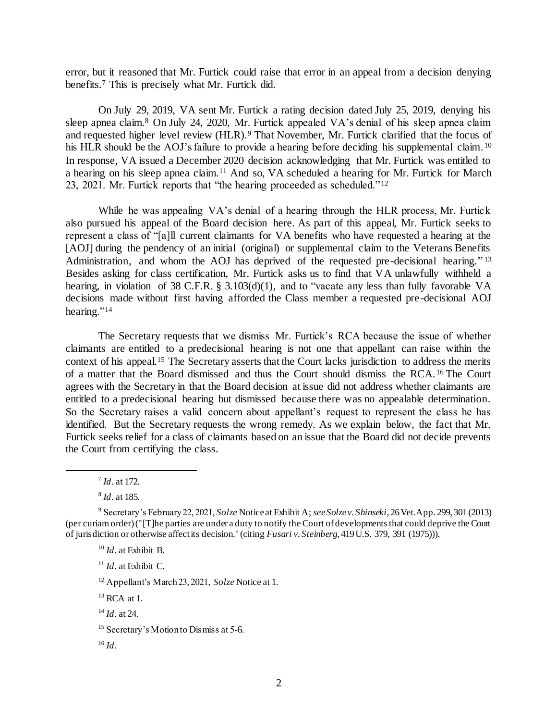error, but it reasoned that Mr. Furtick could raise that error in an appeal from a decision denying benefits.<sup>7</sup> This is precisely what Mr. Furtick did.

On July 29, 2019, VA sent Mr. Furtick a rating decision dated July 25, 2019, denying his sleep apnea claim.<sup>8</sup> On July 24, 2020, Mr. Furtick appealed VA's denial of his sleep apnea claim and requested higher level review (HLR).<sup>9</sup> That November, Mr. Furtick clarified that the focus of his HLR should be the AOJ's failure to provide a hearing before deciding his supplemental claim.<sup>10</sup> In response, VA issued a December 2020 decision acknowledging that Mr. Furtick was entitled to a hearing on his sleep apnea claim.<sup>11</sup> And so, VA scheduled a hearing for Mr. Furtick for March 23, 2021. Mr. Furtick reports that "the hearing proceeded as scheduled."<sup>12</sup>

While he was appealing VA's denial of a hearing through the HLR process, Mr. Furtick also pursued his appeal of the Board decision here. As part of this appeal, Mr. Furtick seeks to represent a class of "[a]ll current claimants for VA benefits who have requested a hearing at the [AOJ] during the pendency of an initial (original) or supplemental claim to the Veterans Benefits Administration, and whom the AOJ has deprived of the requested pre-decisional hearing."<sup>13</sup> Besides asking for class certification, Mr. Furtick asks us to find that VA unlawfully withheld a hearing, in violation of 38 C.F.R. § 3.103(d)(1), and to "vacate any less than fully favorable VA decisions made without first having afforded the Class member a requested pre-decisional AOJ hearing."<sup>14</sup>

The Secretary requests that we dismiss Mr. Furtick's RCA because the issue of whether claimants are entitled to a predecisional hearing is not one that appellant can raise within the context of his appeal.<sup>15</sup> The Secretary asserts that the Court lacks jurisdiction to address the merits of a matter that the Board dismissed and thus the Court should dismiss the RCA. <sup>16</sup> The Court agrees with the Secretary in that the Board decision at issue did not address whether claimants are entitled to a predecisional hearing but dismissed because there was no appealable determination. So the Secretary raises a valid concern about appellant's request to represent the class he has identified. But the Secretary requests the wrong remedy. As we explain below, the fact that Mr. Furtick seeks relief for a class of claimants based on an issue that the Board did not decide prevents the Court from certifying the class.

l

<sup>7</sup> *Id*. at 172.

<sup>8</sup> *Id*. at 185.

<sup>9</sup> Secretary's February 22, 2021, *Solze* Notice at Exhibit A; *see Solze v. Shinseki*, 26 Vet.App. 299, 301 (2013) (per curiam order) ("[T]he parties are under a duty to notify the Court of developments that could deprive the Court of jurisdiction or otherwise affect its decision." (citing *Fusari v. Steinberg*, 419 U.S. 379, 391 (1975))).

<sup>10</sup> *Id.* at Exhibit B.

<sup>11</sup> *Id*. at Exhibit C.

<sup>12</sup> Appellant's March 23, 2021, *Solze* Notice at 1.

 $13$  RCA at 1.

<sup>14</sup> *Id*. at 24.

<sup>&</sup>lt;sup>15</sup> Secretary's Motion to Dismiss at 5-6.

<sup>16</sup> *Id.*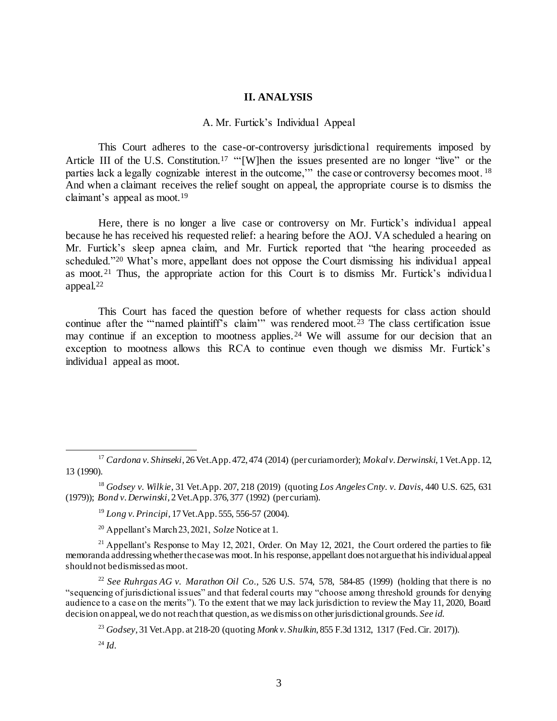## **II. ANALYSIS**

#### A. Mr. Furtick's Individual Appeal

This Court adheres to the case-or-controversy jurisdictional requirements imposed by Article III of the U.S. Constitution.<sup>17</sup> "'[W]hen the issues presented are no longer "live" or the parties lack a legally cognizable interest in the outcome," the case or controversy becomes moot.<sup>18</sup> And when a claimant receives the relief sought on appeal, the appropriate course is to dismiss the claimant's appeal as moot.<sup>19</sup>

Here, there is no longer a live case or controversy on Mr. Furtick's individual appeal because he has received his requested relief: a hearing before the AOJ. VA scheduled a hearing on Mr. Furtick's sleep apnea claim, and Mr. Furtick reported that "the hearing proceeded as scheduled."<sup>20</sup> What's more, appellant does not oppose the Court dismissing his individual appeal as moot. <sup>21</sup> Thus, the appropriate action for this Court is to dismiss Mr. Furtick's individua l appeal.<sup>22</sup>

This Court has faced the question before of whether requests for class action should continue after the "'named plaintiff's claim'" was rendered moot.<sup>23</sup> The class certification issue may continue if an exception to mootness applies.<sup>24</sup> We will assume for our decision that an exception to mootness allows this RCA to continue even though we dismiss Mr. Furtick's individual appeal as moot.

l

<sup>17</sup> *Cardona v. Shinseki*, 26 Vet.App. 472, 474 (2014) (per curiam order); *Mokal v. Derwinski*, 1 Vet.App. 12, 13 (1990).

<sup>18</sup> *Godsey v. Wilkie*, 31 Vet.App. 207, 218 (2019) (quoting *Los Angeles Cnty. v. Davis*, 440 U.S. 625, 631 (1979)); *Bond v. Derwinski*, 2 Vet.App. 376, 377 (1992) (per curiam).

<sup>19</sup> *Long v. Principi*, 17 Vet.App. 555, 556-57 (2004).

<sup>20</sup> Appellant's March 23, 2021, *Solze* Notice at 1.

 $^{21}$  Appellant's Response to May 12, 2021, Order. On May 12, 2021, the Court ordered the parties to file memoranda addressing whether the case was moot. In his response, appellant does not argue that his individual appeal should not be dismissed as moot.

<sup>22</sup> *See Ruhrgas AG v. Marathon Oil Co.*, 526 U.S. 574, 578, 584-85 (1999) (holding that there is no "sequencing of jurisdictional issues" and that federal courts may "choose among threshold grounds for denying audience to a case on the merits"). To the extent that we may lack jurisdiction to review the May 11, 2020, Board decision on appeal, we do not reach that question, as we dismiss on other jurisdictional grounds. *See id*.

<sup>23</sup> *Godsey*, 31 Vet.App. at 218-20 (quoting *Monk v. Shulkin*, 855 F.3d 1312, 1317 (Fed. Cir. 2017)).

<sup>24</sup> *Id.*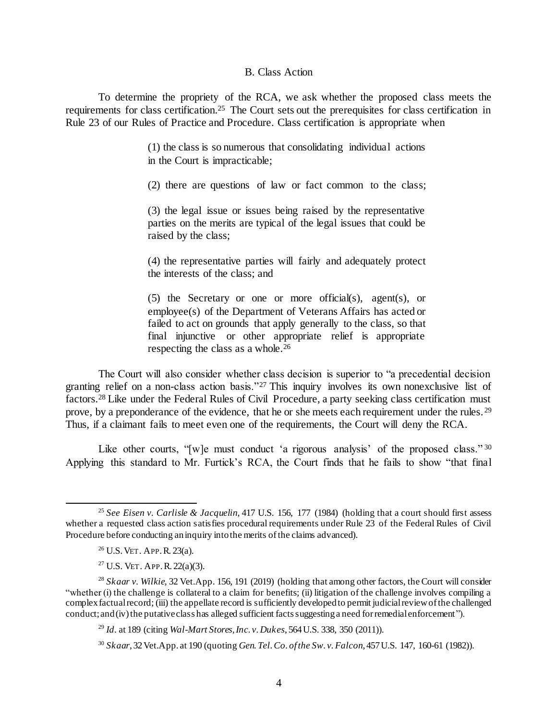## B. Class Action

To determine the propriety of the RCA, we ask whether the proposed class meets the requirements for class certification.<sup>25</sup> The Court sets out the prerequisites for class certification in Rule 23 of our Rules of Practice and Procedure. Class certification is appropriate when

> (1) the class is so numerous that consolidating individual actions in the Court is impracticable;

> (2) there are questions of law or fact common to the class;

(3) the legal issue or issues being raised by the representative parties on the merits are typical of the legal issues that could be raised by the class;

(4) the representative parties will fairly and adequately protect the interests of the class; and

(5) the Secretary or one or more official(s), agent(s), or employee(s) of the Department of Veterans Affairs has acted or failed to act on grounds that apply generally to the class, so that final injunctive or other appropriate relief is appropriate respecting the class as a whole.<sup>26</sup>

The Court will also consider whether class decision is superior to "a precedential decision granting relief on a non-class action basis."<sup>27</sup> This inquiry involves its own nonexclusive list of factors.<sup>28</sup> Like under the Federal Rules of Civil Procedure, a party seeking class certification must prove, by a preponderance of the evidence, that he or she meets each requirement under the rules. <sup>29</sup> Thus, if a claimant fails to meet even one of the requirements, the Court will deny the RCA.

Like other courts, "[w]e must conduct 'a rigorous analysis' of the proposed class."<sup>30</sup> Applying this standard to Mr. Furtick's RCA, the Court finds that he fails to show "that final

l

<sup>29</sup> *Id*. at 189 (citing *Wal-Mart Stores, Inc. v. Dukes*, 564 U.S. 338, 350 (2011)).

<sup>25</sup> *See Eisen v. Carlisle & Jacquelin*, 417 U.S. 156, 177 (1984) (holding that a court should first assess whether a requested class action satisfies procedural requirements under Rule 23 of the Federal Rules of Civil Procedure before conducting an inquiry into the merits of the claims advanced).

<sup>26</sup> U.S.VET. APP.R*.* 23(a).

<sup>&</sup>lt;sup>27</sup> U.S. VET. APP. R.  $22(a)(3)$ .

<sup>28</sup> *Skaar v. Wilkie*, 32 Vet.App. 156, 191 (2019) (holding that among other factors, the Court will consider "whether (i) the challenge is collateral to a claim for benefits; (ii) litigation of the challenge involves compiling a complex factual record; (iii) the appellate record is sufficiently developed to permit judicial review of the challenged conduct; and (iv) the putative class has alleged sufficient facts suggesting a need for remedial enforcement ").

<sup>30</sup> *Skaar*, 32 Vet.App. at 190 (quoting *Gen. Tel. Co. of the Sw. v. Falcon*, 457 U.S. 147, 160-61 (1982)).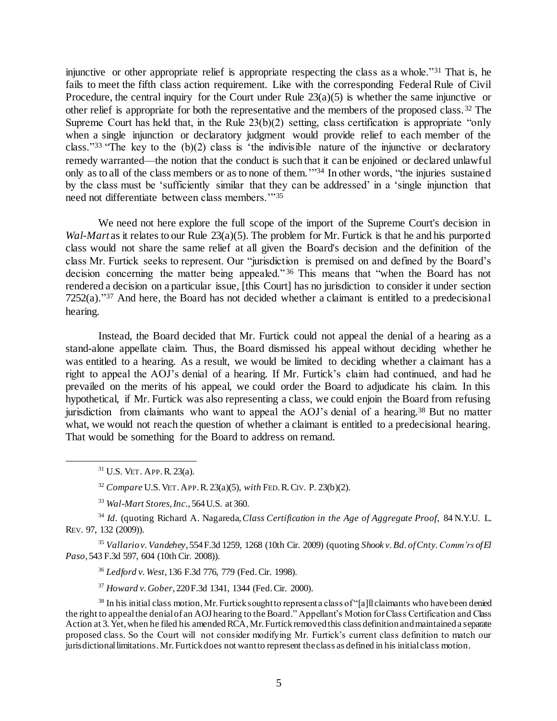injunctive or other appropriate relief is appropriate respecting the class as a whole."<sup>31</sup> That is, he fails to meet the fifth class action requirement. Like with the corresponding Federal Rule of Civil Procedure, the central inquiry for the Court under Rule  $23(a)(5)$  is whether the same injunctive or other relief is appropriate for both the representative and the members of the proposed class. <sup>32</sup> The Supreme Court has held that, in the Rule 23(b)(2) setting, class certification is appropriate "only when a single injunction or declaratory judgment would provide relief to each member of the class." <sup>33</sup> "The key to the (b)(2) class is 'the indivisible nature of the injunctive or declaratory remedy warranted—the notion that the conduct is such that it can be enjoined or declared unlawful only as to all of the class members or as to none of them.'" <sup>34</sup> In other words, "the injuries sustained by the class must be 'sufficiently similar that they can be addressed' in a 'single injunction that need not differentiate between class members.'"<sup>35</sup>

We need not here explore the full scope of the import of the Supreme Court's decision in *Wal-Mart* as it relates to our Rule 23(a)(5). The problem for Mr. Furtick is that he and his purported class would not share the same relief at all given the Board's decision and the definition of the class Mr. Furtick seeks to represent. Our "jurisdiction is premised on and defined by the Board's decision concerning the matter being appealed." <sup>36</sup> This means that "when the Board has not rendered a decision on a particular issue, [this Court] has no jurisdiction to consider it under section  $7252(a)$ ."<sup>37</sup> And here, the Board has not decided whether a claimant is entitled to a predecisional hearing.

Instead, the Board decided that Mr. Furtick could not appeal the denial of a hearing as a stand-alone appellate claim. Thus, the Board dismissed his appeal without deciding whether he was entitled to a hearing. As a result, we would be limited to deciding whether a claimant has a right to appeal the AOJ's denial of a hearing. If Mr. Furtick's claim had continued, and had he prevailed on the merits of his appeal, we could order the Board to adjudicate his claim. In this hypothetical, if Mr. Furtick was also representing a class, we could enjoin the Board from refusing jurisdiction from claimants who want to appeal the AOJ's denial of a hearing.<sup>38</sup> But no matter what, we would not reach the question of whether a claimant is entitled to a predecisional hearing. That would be something for the Board to address on remand.

l

<sup>35</sup> *Vallario v. Vandehey*, 554 F.3d 1259, 1268 (10th Cir. 2009) (quoting *Shook v. Bd. of Cnty.Comm'rs of El Paso*, 543 F.3d 597, 604 (10th Cir. 2008)).

<sup>36</sup> *Ledford v. West*, 136 F.3d 776, 779 (Fed. Cir. 1998).

<sup>37</sup> *Howard v. Gober*, 220 F.3d 1341, 1344 (Fed. Cir. 2000).

<sup>31</sup> U.S. VET. APP.R*.* 23(a).

<sup>32</sup> *Compare* U.S. VET.APP.R. 23(a)(5), *with* FED.R.CIV. P. 23(b)(2).

<sup>33</sup> *Wal-Mart Stores, Inc.*, 564 U.S. at 360.

<sup>34</sup> *Id*. (quoting Richard A. Nagareda*,Class Certification in the Age of Aggregate Proof*, 84 N.Y.U. L. REV. 97, 132 (2009)).

<sup>&</sup>lt;sup>38</sup> In his initial class motion, Mr. Furtick sought to represent a class of "[a]ll claimants who have been denied the right to appeal the denial of an AOJ hearing to the Board." Appellant's Motion for Class Certification and Class Action at 3. Yet, when he filed his amended RCA, Mr. Furtick removed this class definition and maintained a separate proposed class. So the Court will not consider modifying Mr. Furtick's current class definition to match our jurisdictional limitations. Mr. Furtick does not want to represent theclass as defined in his initial class motion.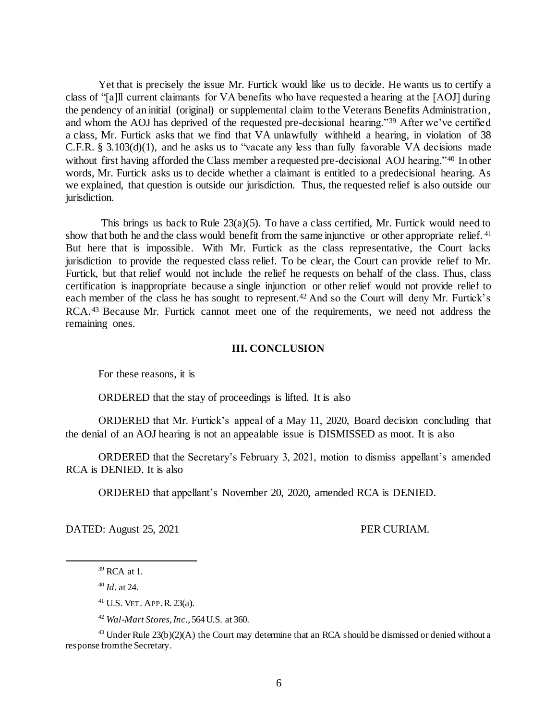Yet that is precisely the issue Mr. Furtick would like us to decide. He wants us to certify a class of "[a]ll current claimants for VA benefits who have requested a hearing at the [AOJ] during the pendency of an initial (original) or supplemental claim to the Veterans Benefits Administration, and whom the AOJ has deprived of the requested pre-decisional hearing."<sup>39</sup> After we've certified a class, Mr. Furtick asks that we find that VA unlawfully withheld a hearing, in violation of 38 C.F.R. § 3.103(d)(1), and he asks us to "vacate any less than fully favorable VA decisions made without first having afforded the Class member a requested pre-decisional AOJ hearing."<sup>40</sup> In other words, Mr. Furtick asks us to decide whether a claimant is entitled to a predecisional hearing. As we explained, that question is outside our jurisdiction. Thus, the requested relief is also outside our jurisdiction.

This brings us back to Rule  $23(a)(5)$ . To have a class certified, Mr. Furtick would need to show that both he and the class would benefit from the same injunctive or other appropriate relief. <sup>41</sup> But here that is impossible. With Mr. Furtick as the class representative, the Court lacks jurisdiction to provide the requested class relief. To be clear, the Court can provide relief to Mr. Furtick, but that relief would not include the relief he requests on behalf of the class. Thus, class certification is inappropriate because a single injunction or other relief would not provide relief to each member of the class he has sought to represent.<sup>42</sup> And so the Court will deny Mr. Furtick's RCA.<sup>43</sup> Because Mr. Furtick cannot meet one of the requirements, we need not address the remaining ones.

## **III. CONCLUSION**

For these reasons, it is

ORDERED that the stay of proceedings is lifted. It is also

ORDERED that Mr. Furtick's appeal of a May 11, 2020, Board decision concluding that the denial of an AOJ hearing is not an appealable issue is DISMISSED as moot. It is also

ORDERED that the Secretary's February 3, 2021, motion to dismiss appellant's amended RCA is DENIED. It is also

ORDERED that appellant's November 20, 2020, amended RCA is DENIED.

DATED: August 25, 2021 PER CURIAM.

j

 $39$  RCA at 1.

<sup>40</sup> *Id*. at 24.

<sup>41</sup> U.S. VET. APP.R*.* 23(a).

<sup>42</sup> *Wal-Mart Stores, Inc.*, 564 U.S. at 360.

<sup>&</sup>lt;sup>43</sup> Under Rule  $23(b)(2)(A)$  the Court may determine that an RCA should be dismissed or denied without a response from the Secretary.